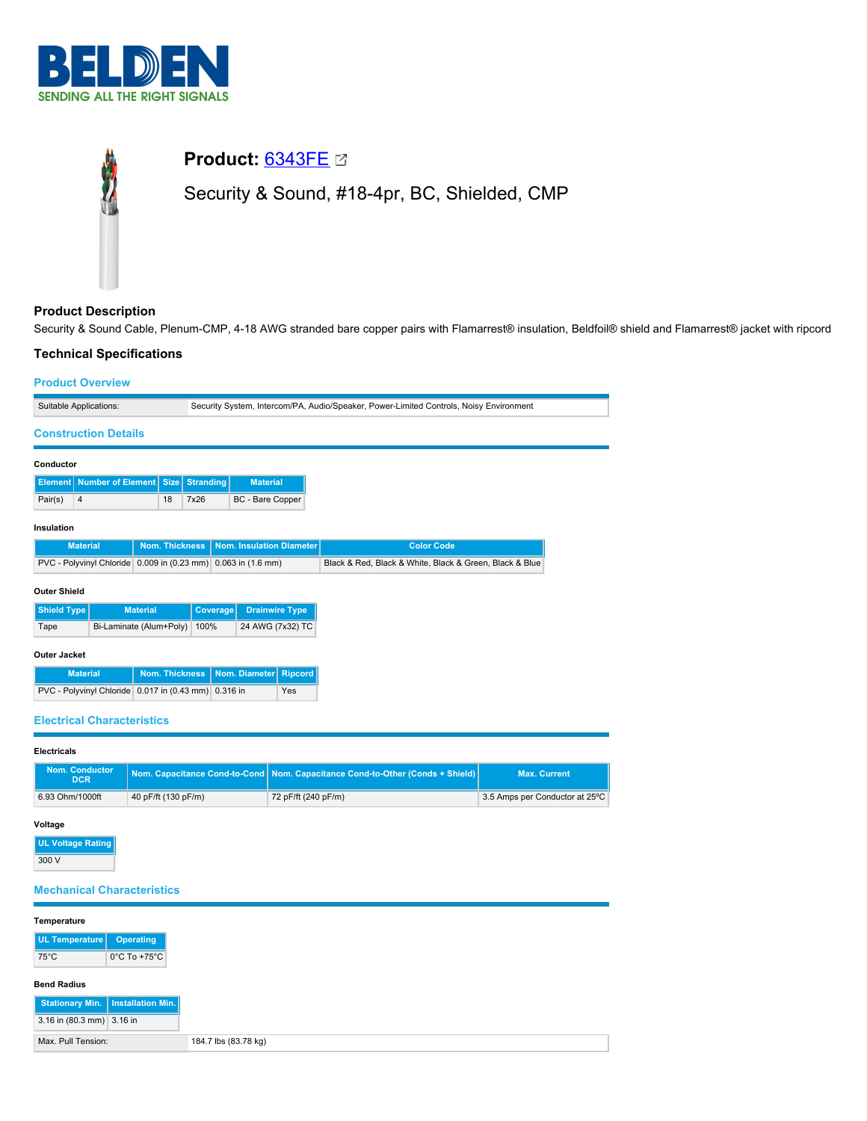

# **Product:** [6343FE](https://catalog.belden.com/index.cfm?event=pd&p=PF_6343FE&tab=downloads) Security & Sound, #18-4pr, BC, Shielded, CMP

# **Product Description**

Security & Sound Cable, Plenum-CMP, 4-18 AWG stranded bare copper pairs with Flamarrest® insulation, Beldfoil® shield and Flamarrest® jacket with ripcord

# **Technical Specifications**

## **Product Overview**

| Suitable Applications:                               |                                   |                       |                          | Security System, Intercom/PA, Audio/Speaker, Power-Limited Controls, Noisy Environment |                  |                                                         |                   |  |  |
|------------------------------------------------------|-----------------------------------|-----------------------|--------------------------|----------------------------------------------------------------------------------------|------------------|---------------------------------------------------------|-------------------|--|--|
| <b>Construction Details</b>                          |                                   |                       |                          |                                                                                        |                  |                                                         |                   |  |  |
| Conductor                                            |                                   |                       |                          |                                                                                        |                  |                                                         |                   |  |  |
| Element   Number of Element   Size                   |                                   | Stranding             |                          | <b>Material</b>                                                                        |                  |                                                         |                   |  |  |
| 18<br>Pair(s)<br>4                                   |                                   |                       | 7x26                     |                                                                                        | BC - Bare Copper |                                                         |                   |  |  |
| Insulation                                           |                                   |                       |                          |                                                                                        |                  |                                                         |                   |  |  |
|                                                      | Nom. Thickness<br><b>Material</b> |                       |                          | Nom. Insulation Diameter                                                               |                  |                                                         | <b>Color Code</b> |  |  |
| PVC - Polyvinyl Chloride 0.009 in (0.23 mm)          |                                   |                       | $0.063$ in $(1.6$ mm)    |                                                                                        |                  | Black & Red, Black & White, Black & Green, Black & Blue |                   |  |  |
| <b>Outer Shield</b>                                  |                                   |                       |                          |                                                                                        |                  |                                                         |                   |  |  |
| Shield Type<br><b>Material</b>                       |                                   | <b>Coverage</b>       |                          | <b>Drainwire Type</b>                                                                  |                  |                                                         |                   |  |  |
| Bi-Laminate (Alum+Poly)<br>Tape                      |                                   |                       | 24 AWG (7x32) TC<br>100% |                                                                                        |                  |                                                         |                   |  |  |
| <b>Outer Jacket</b>                                  |                                   |                       |                          |                                                                                        |                  |                                                         |                   |  |  |
| <b>Material</b>                                      |                                   | <b>Nom. Thickness</b> |                          |                                                                                        |                  | Nom. Diameter                                           | <b>Ripcord</b>    |  |  |
| PVC - Polyvinyl Chloride 0.017 in (0.43 mm) 0.316 in |                                   |                       |                          |                                                                                        | Yes              |                                                         |                   |  |  |
|                                                      |                                   |                       |                          |                                                                                        |                  |                                                         |                   |  |  |

## **Electrical Characteristics**

| Electricals |
|-------------|
|-------------|

| <b>Nom. Conductor</b><br><b>DCR</b> |                     | Nom. Capacitance Cond-to-Cond Nom. Capacitance Cond-to-Other (Conds + Shield) | <b>Max. Current</b>            |  |
|-------------------------------------|---------------------|-------------------------------------------------------------------------------|--------------------------------|--|
| 6.93 Ohm/1000ft                     | 40 pF/ft (130 pF/m) | 72 pF/ft (240 pF/m)                                                           | 3.5 Amps per Conductor at 25°C |  |

## **Voltage**

**UL Voltage Rating** 300 V

# **Mechanical Characteristics**

| Temperature                         |                                   |
|-------------------------------------|-----------------------------------|
| UL Temperature                      | Operating                         |
| $75^{\circ}$ C                      | $0^{\circ}$ C To +75 $^{\circ}$ C |
|                                     |                                   |
| <b>Bend Radius</b>                  |                                   |
| Stationary Min.   Installation Min. |                                   |
| 3.16 in $(80.3 \text{ mm})$ 3.16 in |                                   |
| Max. Pull Tension:                  |                                   |